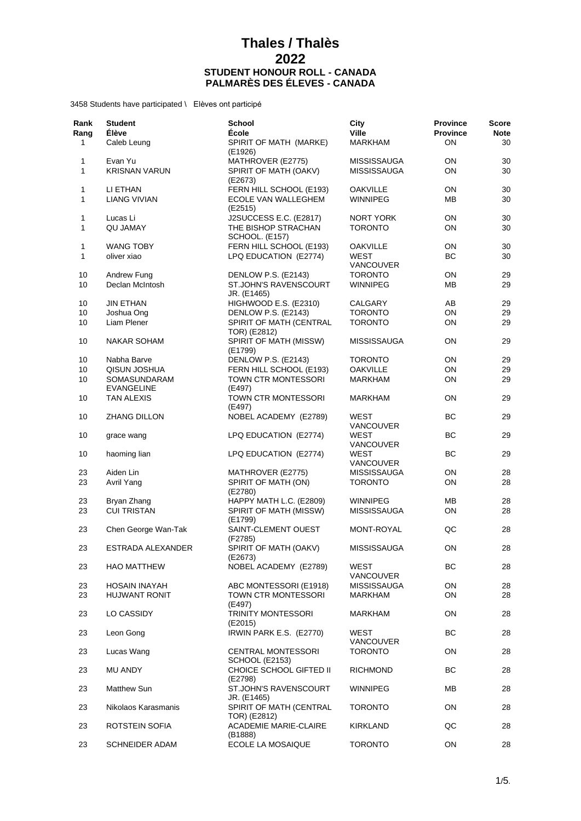| Rank<br>Rang<br>1 | <b>Student</b><br>Élève<br>Caleb Leung | <b>School</b><br>École<br>SPIRIT OF MATH (MARKE) | City<br><b>Ville</b><br><b>MARKHAM</b> | <b>Province</b><br><b>Province</b><br>ON | Score<br><b>Note</b><br>30 |
|-------------------|----------------------------------------|--------------------------------------------------|----------------------------------------|------------------------------------------|----------------------------|
|                   |                                        | (E1926)                                          |                                        |                                          |                            |
| 1<br>$\mathbf{1}$ | Evan Yu<br><b>KRISNAN VARUN</b>        | MATHROVER (E2775)<br>SPIRIT OF MATH (OAKV)       | MISSISSAUGA<br><b>MISSISSAUGA</b>      | ΟN<br>ON                                 | 30<br>30                   |
| 1                 | LI ETHAN                               | (E2673)<br>FERN HILL SCHOOL (E193)               | <b>OAKVILLE</b>                        | ON                                       | 30                         |
| 1                 | <b>LIANG VIVIAN</b>                    | ECOLE VAN WALLEGHEM<br>(E2515)                   | <b>WINNIPEG</b>                        | ΜВ                                       | 30                         |
| 1                 | Lucas Li                               | J2SUCCESS E.C. (E2817)                           | NORT YORK                              | ON                                       | 30                         |
| 1                 | <b>QU JAMAY</b>                        | THE BISHOP STRACHAN<br><b>SCHOOL. (E157)</b>     | <b>TORONTO</b>                         | OΝ                                       | 30                         |
| 1                 | <b>WANG TOBY</b>                       | FERN HILL SCHOOL (E193)                          | <b>OAKVILLE</b>                        | ON                                       | 30                         |
| $\mathbf{1}$      | oliver xiao                            | LPQ EDUCATION (E2774)                            | <b>WEST</b><br><b>VANCOUVER</b>        | BC                                       | 30                         |
| 10                | Andrew Fung                            | DENLOW P.S. (E2143)                              | <b>TORONTO</b>                         | ON                                       | 29                         |
| 10                | Declan McIntosh                        | ST.JOHN'S RAVENSCOURT<br>JR. (E1465)             | <b>WINNIPEG</b>                        | ΜВ                                       | 29                         |
| 10                | <b>JIN ETHAN</b>                       | HIGHWOOD E.S. (E2310)                            | CALGARY                                | AB                                       | 29                         |
| 10                | Joshua Ong                             | DENLOW P.S. (E2143)                              | <b>TORONTO</b>                         | ON                                       | 29                         |
| 10                | Liam Plener                            | SPIRIT OF MATH (CENTRAL<br>TOR) (E2812)          | <b>TORONTO</b>                         | ON                                       | 29                         |
| 10                | <b>NAKAR SOHAM</b>                     | SPIRIT OF MATH (MISSW)<br>(E1799)                | <b>MISSISSAUGA</b>                     | ON                                       | 29                         |
| 10                | Nabha Barve                            | DENLOW P.S. (E2143)                              | <b>TORONTO</b>                         | ON                                       | 29                         |
| 10                | QISUN JOSHUA                           | FERN HILL SCHOOL (E193)                          | <b>OAKVILLE</b>                        | ON                                       | 29                         |
| 10                | SOMASUNDARAM<br>EVANGELINE             | TOWN CTR MONTESSORI<br>(E497)                    | <b>MARKHAM</b>                         | ON                                       | 29                         |
| 10                | <b>TAN ALEXIS</b>                      | TOWN CTR MONTESSORI<br>(E497)                    | <b>MARKHAM</b>                         | ON                                       | 29                         |
| 10                | <b>ZHANG DILLON</b>                    | NOBEL ACADEMY (E2789)                            | WEST<br>VANCOUVER                      | <b>BC</b>                                | 29                         |
| 10                | grace wang                             | LPQ EDUCATION (E2774)                            | WEST<br>VANCOUVER                      | BС                                       | 29                         |
| 10                | haoming lian                           | LPQ EDUCATION (E2774)                            | WEST<br>VANCOUVER                      | BС                                       | 29                         |
| 23                | Aiden Lin                              | MATHROVER (E2775)                                | <b>MISSISSAUGA</b>                     | ON                                       | 28                         |
| 23                | Avril Yang                             | SPIRIT OF MATH (ON)<br>(E2780)                   | <b>TORONTO</b>                         | ON                                       | 28                         |
| 23                | Bryan Zhang                            | HAPPY MATH L.C. (E2809)                          | <b>WINNIPEG</b>                        | MВ                                       | 28                         |
| 23                | <b>CUI TRISTAN</b>                     | SPIRIT OF MATH (MISSW)<br>(E1799)                | <b>MISSISSAUGA</b>                     | ON                                       | 28                         |
| 23                | Chen George Wan-Tak                    | SAINT-CLEMENT OUEST<br>(F2785)                   | MONT-ROYAL                             | QC                                       | 28                         |
| 23                | ESTRADA ALEXANDER                      | SPIRIT OF MATH (OAKV)<br>(E2673)                 | <b>MISSISSAUGA</b>                     | ON                                       | 28                         |
| 23                | <b>HAO MATTHEW</b>                     | NOBEL ACADEMY (E2789)                            | WEST<br><b>VANCOUVER</b>               | BС                                       | 28                         |
| 23                | HOSAIN INAYAH                          | ABC MONTESSORI (E1918)                           | <b>MISSISSAUGA</b>                     | ON                                       | 28                         |
| 23                | <b>HUJWANT RONIT</b>                   | TOWN CTR MONTESSORI<br>(E497)                    | <b>MARKHAM</b>                         | ON                                       | 28                         |
| 23                | LO CASSIDY                             | <b>TRINITY MONTESSORI</b><br>(E2015)             | <b>MARKHAM</b>                         | ON                                       | 28                         |
| 23                | Leon Gong                              | IRWIN PARK E.S. (E2770)                          | <b>WEST</b><br>VANCOUVER               | BС                                       | 28                         |
| 23                | Lucas Wang                             | <b>CENTRAL MONTESSORI</b><br>SCHOOL (E2153)      | <b>TORONTO</b>                         | ON                                       | 28                         |
| 23                | <b>MU ANDY</b>                         | CHOICE SCHOOL GIFTED II<br>(E2798)               | <b>RICHMOND</b>                        | BС                                       | 28                         |
| 23                | Matthew Sun                            | ST.JOHN'S RAVENSCOURT<br>JR. (E1465)             | <b>WINNIPEG</b>                        | ΜВ                                       | 28                         |
| 23                | Nikolaos Karasmanis                    | SPIRIT OF MATH (CENTRAL<br>TOR) (E2812)          | <b>TORONTO</b>                         | ON                                       | 28                         |
| 23                | ROTSTEIN SOFIA                         | <b>ACADEMIE MARIE-CLAIRE</b><br>(B1888)          | KIRKLAND                               | QC                                       | 28                         |
| 23                | <b>SCHNEIDER ADAM</b>                  | ECOLE LA MOSAIQUE                                | <b>TORONTO</b>                         | ON                                       | 28                         |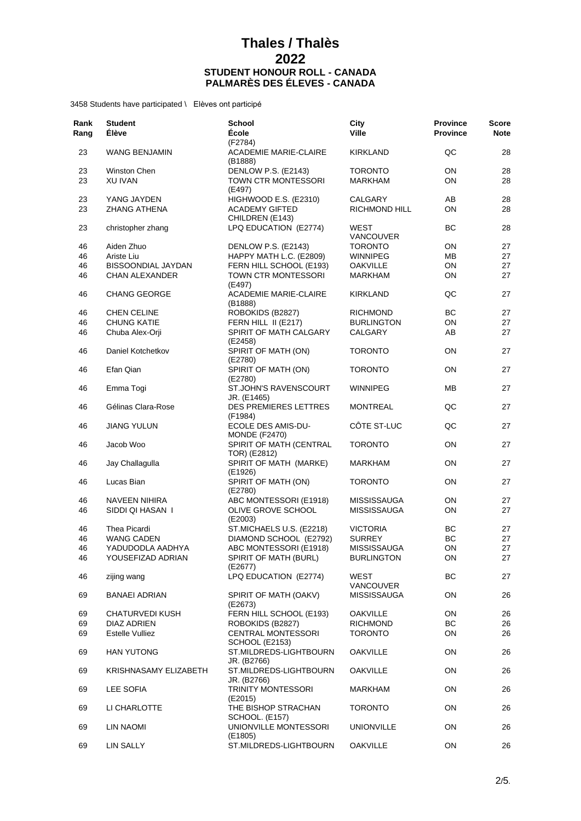| Rank<br>Rang | <b>Student</b><br><b>Élève</b> | <b>School</b><br>École                             | City<br><b>Ville</b>     | <b>Province</b><br><b>Province</b> | <b>Score</b><br><b>Note</b> |
|--------------|--------------------------------|----------------------------------------------------|--------------------------|------------------------------------|-----------------------------|
| 23           | <b>WANG BENJAMIN</b>           | (F2784)<br><b>ACADEMIE MARIE-CLAIRE</b><br>(B1888) | <b>KIRKLAND</b>          | QC                                 | 28                          |
| 23           | Winston Chen                   | DENLOW P.S. (E2143)                                | <b>TORONTO</b>           | ON                                 | 28                          |
| 23           | XU IVAN                        | TOWN CTR MONTESSORI<br>(E497)                      | <b>MARKHAM</b>           | ON                                 | 28                          |
| 23           | YANG JAYDEN                    | HIGHWOOD E.S. (E2310)                              | CALGARY                  | AB                                 | 28                          |
| 23           | <b>ZHANG ATHENA</b>            | <b>ACADEMY GIFTED</b><br>CHILDREN (E143)           | <b>RICHMOND HILL</b>     | ON                                 | 28                          |
| 23           | christopher zhang              | LPQ EDUCATION (E2774)                              | WEST<br><b>VANCOUVER</b> | ВC                                 | 28                          |
| 46           | Aiden Zhuo                     | DENLOW P.S. (E2143)                                | <b>TORONTO</b>           | ON                                 | 27                          |
| 46           | Ariste Liu                     | HAPPY MATH L.C. (E2809)                            | WINNIPEG                 | ΜВ                                 | 27                          |
| 46           | BISSOONDIAL JAYDAN             | FERN HILL SCHOOL (E193)                            | <b>OAKVILLE</b>          | ON                                 | 27                          |
| 46           | <b>CHAN ALEXANDER</b>          | TOWN CTR MONTESSORI<br>(E497)                      | <b>MARKHAM</b>           | ON                                 | 27                          |
| 46           | <b>CHANG GEORGE</b>            | <b>ACADEMIE MARIE-CLAIRE</b><br>(B1888)            | <b>KIRKLAND</b>          | QC                                 | 27                          |
| 46           | <b>CHEN CELINE</b>             | ROBOKIDS (B2827)                                   | <b>RICHMOND</b>          | BC                                 | 27                          |
| 46           | <b>CHUNG KATIE</b>             | FERN HILL II (E217)                                | <b>BURLINGTON</b>        | OΝ                                 | 27                          |
| 46           | Chuba Alex-Orji                | SPIRIT OF MATH CALGARY                             | CALGARY                  | AB                                 | 27                          |
| 46           | Daniel Kotchetkov              | (E2458)<br>SPIRIT OF MATH (ON)                     | <b>TORONTO</b>           | ON                                 | 27                          |
| 46           | Efan Qian                      | (E2780)<br>SPIRIT OF MATH (ON)                     | <b>TORONTO</b>           | ON                                 | 27                          |
| 46           | Emma Togi                      | (E2780)<br><b>ST.JOHN'S RAVENSCOURT</b>            | <b>WINNIPEG</b>          | MВ                                 | 27                          |
| 46           | Gélinas Clara-Rose             | JR. (E1465)<br><b>DES PREMIERES LETTRES</b>        | <b>MONTREAL</b>          | QC                                 | 27                          |
| 46           | <b>JIANG YULUN</b>             | (F1984)<br>ECOLE DES AMIS-DU-                      | CÔTE ST-LUC              | QC                                 | 27                          |
| 46           | Jacob Woo                      | <b>MONDE (F2470)</b><br>SPIRIT OF MATH (CENTRAL    | <b>TORONTO</b>           | ON                                 | 27                          |
| 46           | Jay Challagulla                | TOR) (E2812)<br>SPIRIT OF MATH (MARKE)             | <b>MARKHAM</b>           | ON                                 | 27                          |
| 46           | Lucas Bian                     | (E1926)<br>SPIRIT OF MATH (ON)                     | <b>TORONTO</b>           | ON                                 | 27                          |
|              |                                | (E2780)                                            |                          |                                    |                             |
| 46           | NAVEEN NIHIRA                  | ABC MONTESSORI (E1918)                             | <b>MISSISSAUGA</b>       | ON                                 | 27                          |
| 46           | SIDDI QI HASAN I               | OLIVE GROVE SCHOOL<br>(E2003)                      | <b>MISSISSAUGA</b>       | ON                                 | 27                          |
| 46           | <b>Thea Picardi</b>            | ST.MICHAELS U.S. (E2218)                           | <b>VICTORIA</b>          | BС                                 | 27                          |
| 46           | <b>WANG CADEN</b>              | DIAMOND SCHOOL (E2792)                             | <b>SURREY</b>            | ВC                                 | 27                          |
| 46           | YADUDODLA AADHYA               | ABC MONTESSORI (E1918)                             | <b>MISSISSAUGA</b>       | ON                                 | 27                          |
| 46           | YOUSEFIZAD ADRIAN              | SPIRIT OF MATH (BURL)<br>(E2677)                   | <b>BURLINGTON</b>        | ON                                 | 27                          |
| 46           | zijing wang                    | LPQ EDUCATION (E2774)                              | WEST<br>VANCOUVER        | BС                                 | 27                          |
| 69           | <b>BANAEI ADRIAN</b>           | SPIRIT OF MATH (OAKV)<br>(E2673)                   | <b>MISSISSAUGA</b>       | ΟN                                 | 26                          |
| 69           | <b>CHATURVEDI KUSH</b>         | FERN HILL SCHOOL (E193)                            | <b>OAKVILLE</b>          | ON                                 | 26                          |
| 69           | DIAZ ADRIEN                    | ROBOKIDS (B2827)                                   | <b>RICHMOND</b>          | BC                                 | 26                          |
| 69           | <b>Estelle Vulliez</b>         | <b>CENTRAL MONTESSORI</b><br><b>SCHOOL (E2153)</b> | <b>TORONTO</b>           | ON                                 | 26                          |
| 69           | <b>HAN YUTONG</b>              | ST.MILDREDS-LIGHTBOURN<br>JR. (B2766)              | <b>OAKVILLE</b>          | ON                                 | 26                          |
| 69           | KRISHNASAMY ELIZABETH          | ST.MILDREDS-LIGHTBOURN<br>JR. (B2766)              | <b>OAKVILLE</b>          | 0N                                 | 26                          |
| 69           | LEE SOFIA                      | <b>TRINITY MONTESSORI</b><br>(E2015)               | MARKHAM                  | ON                                 | 26                          |
| 69           | LI CHARLOTTE                   | THE BISHOP STRACHAN<br>SCHOOL. (E157)              | <b>TORONTO</b>           | ON                                 | 26                          |
| 69           | LIN NAOMI                      | UNIONVILLE MONTESSORI<br>(E1805)                   | <b>UNIONVILLE</b>        | ON                                 | 26                          |
| 69           | LIN SALLY                      | ST.MILDREDS-LIGHTBOURN                             | <b>OAKVILLE</b>          | ON                                 | 26                          |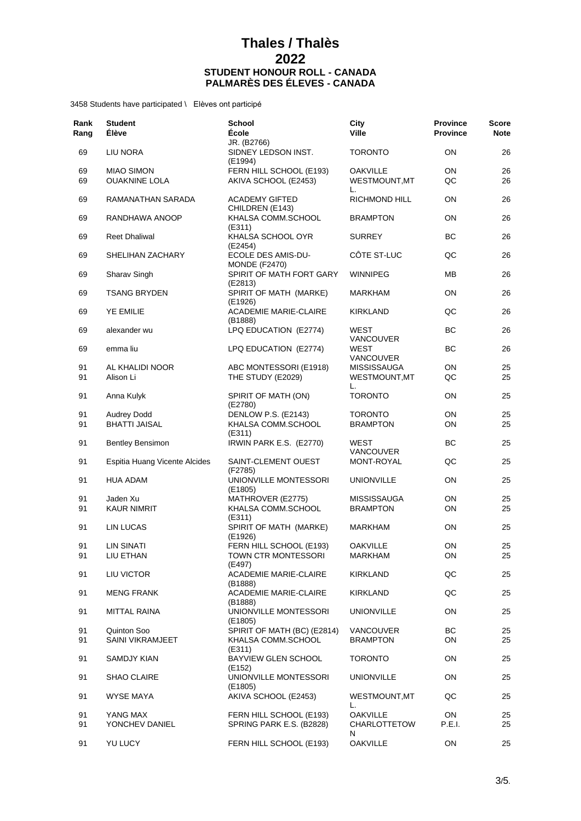| Rank<br>Rang | <b>Student</b><br>Élève                    | <b>School</b><br><b>École</b>                                   | City<br><b>Ville</b>               | <b>Province</b><br><b>Province</b> | <b>Score</b><br><b>Note</b> |
|--------------|--------------------------------------------|-----------------------------------------------------------------|------------------------------------|------------------------------------|-----------------------------|
| 69           | LIU NORA                                   | JR. (B2766)<br>SIDNEY LEDSON INST.<br>(E1994)                   | <b>TORONTO</b>                     | ON                                 | 26                          |
| 69           | <b>MIAO SIMON</b>                          | FERN HILL SCHOOL (E193)                                         | <b>OAKVILLE</b>                    | ON                                 | 26                          |
| 69           | <b>OUAKNINE LOLA</b>                       | AKIVA SCHOOL (E2453)                                            | WESTMOUNT, MT<br>L.                | QC                                 | 26                          |
| 69           | RAMANATHAN SARADA                          | <b>ACADEMY GIFTED</b><br>CHILDREN (E143)                        | <b>RICHMOND HILL</b>               | ON                                 | 26                          |
| 69           | RANDHAWA ANOOP                             | KHALSA COMM.SCHOOL<br>(E311)                                    | <b>BRAMPTON</b>                    | ON                                 | 26                          |
| 69           | <b>Reet Dhaliwal</b>                       | KHALSA SCHOOL OYR<br>(E2454)                                    | <b>SURREY</b>                      | ВC                                 | 26                          |
| 69           | SHELIHAN ZACHARY                           | ECOLE DES AMIS-DU-<br><b>MONDE (F2470)</b>                      | CÔTE ST-LUC                        | QC                                 | 26                          |
| 69           | Sharav Singh                               | SPIRIT OF MATH FORT GARY<br>(E2813)                             | <b>WINNIPEG</b>                    | ΜВ                                 | 26                          |
| 69           | <b>TSANG BRYDEN</b>                        | SPIRIT OF MATH (MARKE)<br>(E1926)                               | <b>MARKHAM</b>                     | ON                                 | 26                          |
| 69           | <b>YE EMILIE</b>                           | <b>ACADEMIE MARIE-CLAIRE</b><br>(B1888)                         | <b>KIRKLAND</b>                    | QC                                 | 26                          |
| 69           | alexander wu                               | LPQ EDUCATION (E2774)                                           | WEST<br>VANCOUVER                  | BС                                 | 26                          |
| 69           | emma liu                                   | LPQ EDUCATION (E2774)                                           | WEST<br><b>VANCOUVER</b>           | <b>BC</b>                          | 26                          |
| 91           | AL KHALIDI NOOR                            | ABC MONTESSORI (E1918)                                          | <b>MISSISSAUGA</b>                 | ON                                 | 25                          |
| 91           | Alison Li                                  | THE STUDY (E2029)                                               | WESTMOUNT, MT<br>L.                | QC                                 | 25                          |
| 91           | Anna Kulyk                                 | SPIRIT OF MATH (ON)<br>(E2780)                                  | <b>TORONTO</b>                     | ON                                 | 25                          |
| 91<br>91     | <b>Audrey Dodd</b><br><b>BHATTI JAISAL</b> | DENLOW P.S. (E2143)<br>KHALSA COMM.SCHOOL<br>(E311)             | <b>TORONTO</b><br><b>BRAMPTON</b>  | ON<br>ON                           | 25<br>25                    |
| 91           | <b>Bentley Bensimon</b>                    | IRWIN PARK E.S. (E2770)                                         | WEST<br><b>VANCOUVER</b>           | ВC                                 | 25                          |
| 91           | Espitia Huang Vicente Alcides              | SAINT-CLEMENT OUEST<br>(F2785)                                  | MONT-ROYAL                         | QC                                 | 25                          |
| 91           | <b>HUA ADAM</b>                            | UNIONVILLE MONTESSORI<br>(E1805)                                | <b>UNIONVILLE</b>                  | ON                                 | 25                          |
| 91           | Jaden Xu                                   | MATHROVER (E2775)                                               | <b>MISSISSAUGA</b>                 | ON                                 | 25                          |
| 91           | <b>KAUR NIMRIT</b>                         | KHALSA COMM.SCHOOL<br>(E311)                                    | <b>BRAMPTON</b>                    | ON                                 | 25                          |
| 91           | LIN LUCAS                                  | SPIRIT OF MATH (MARKE)<br>(E1926)                               | <b>MARKHAM</b>                     | ON                                 | 25                          |
| 91           | LIN SINATI                                 | FERN HILL SCHOOL (E193)                                         | <b>OAKVILLE</b>                    | ON                                 | 25                          |
| 91           | LIU ETHAN                                  | TOWN CTR MONTESSORI<br>(E497)                                   | <b>MARKHAM</b>                     | ON                                 | 25                          |
| 91           | LIU VICTOR                                 | ACADEMIE MARIE-CLAIRE<br>(B1888)                                | <b>KIRKLAND</b>                    | QC                                 | 25                          |
| 91           | <b>MENG FRANK</b>                          | <b>ACADEMIE MARIE-CLAIRE</b><br>(B1888)                         | <b>KIRKLAND</b>                    | QC                                 | 25                          |
| 91           | MITTAL RAINA                               | UNIONVILLE MONTESSORI<br>(E1805)<br>SPIRIT OF MATH (BC) (E2814) | <b>UNIONVILLE</b>                  | ON<br><b>BC</b>                    | 25                          |
| 91           | Quinton Soo                                |                                                                 | VANCOUVER                          |                                    | 25                          |
| 91           | <b>SAINI VIKRAMJEET</b>                    | KHALSA COMM.SCHOOL<br>(E311)                                    | <b>BRAMPTON</b>                    | ON                                 | 25                          |
| 91           | SAMDJY KIAN                                | BAYVIEW GLEN SCHOOL<br>(E152)<br>UNIONVILLE MONTESSORI          | <b>TORONTO</b>                     | ON                                 | 25                          |
| 91<br>91     | <b>SHAO CLAIRE</b><br><b>WYSE MAYA</b>     | (E1805)<br>AKIVA SCHOOL (E2453)                                 | <b>UNIONVILLE</b><br>WESTMOUNT, MT | ON<br>QC                           | 25<br>25                    |
| 91           | YANG MAX                                   | FERN HILL SCHOOL (E193)                                         | L.<br><b>OAKVILLE</b>              | ON                                 | 25                          |
| 91           | YONCHEV DANIEL                             | SPRING PARK E.S. (B2828)                                        | CHARLOTTETOW<br>N                  | P.E.I.                             | 25                          |
| 91           | YU LUCY                                    | FERN HILL SCHOOL (E193)                                         | <b>OAKVILLE</b>                    | ON                                 | 25                          |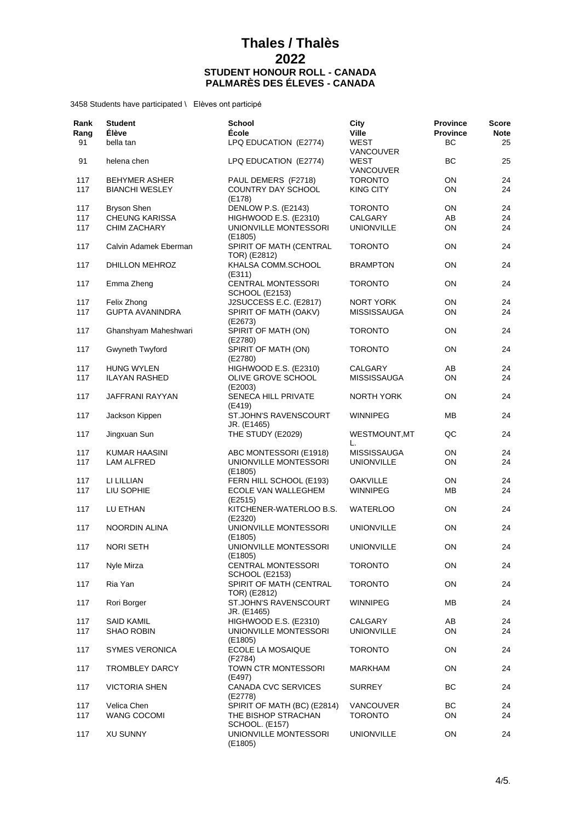| Rank<br>Rang | <b>Student</b><br>Élève | <b>School</b><br><b>École</b>                      | City<br><b>Ville</b>            | <b>Province</b><br><b>Province</b> | <b>Score</b><br><b>Note</b> |
|--------------|-------------------------|----------------------------------------------------|---------------------------------|------------------------------------|-----------------------------|
| 91           | bella tan               | LPQ EDUCATION (E2774)                              | <b>WEST</b><br><b>VANCOUVER</b> | BC                                 | 25                          |
| 91           | helena chen             | LPQ EDUCATION (E2774)                              | WEST<br><b>VANCOUVER</b>        | ВC                                 | 25                          |
| 117          | <b>BEHYMER ASHER</b>    | PAUL DEMERS (F2718)                                | <b>TORONTO</b>                  | 0N                                 | 24                          |
| 117          | <b>BIANCHI WESLEY</b>   | COUNTRY DAY SCHOOL<br>(E178)                       | <b>KING CITY</b>                | 0N                                 | 24                          |
| 117          | <b>Bryson Shen</b>      | DENLOW P.S. (E2143)                                | <b>TORONTO</b>                  | ON                                 | 24                          |
| 117          | <b>CHEUNG KARISSA</b>   | HIGHWOOD E.S. (E2310)                              | CALGARY                         | AB                                 | 24                          |
| 117          | CHIM ZACHARY            | UNIONVILLE MONTESSORI<br>(E1805)                   | <b>UNIONVILLE</b>               | ON                                 | 24                          |
| 117          | Calvin Adamek Eberman   | SPIRIT OF MATH (CENTRAL<br>TOR) (E2812)            | <b>TORONTO</b>                  | ON                                 | 24                          |
| 117          | DHILLON MEHROZ          | KHALSA COMM.SCHOOL<br>(E311)                       | <b>BRAMPTON</b>                 | <b>ON</b>                          | 24                          |
| 117          | Emma Zheng              | <b>CENTRAL MONTESSORI</b><br><b>SCHOOL (E2153)</b> | <b>TORONTO</b>                  | ON                                 | 24                          |
| 117          | Felix Zhong             | J2SUCCESS E.C. (E2817)                             | NORT YORK                       | ON                                 | 24                          |
| 117          | <b>GUPTA AVANINDRA</b>  | SPIRIT OF MATH (OAKV)<br>(E2673)                   | <b>MISSISSAUGA</b>              | ON                                 | 24                          |
| 117          | Ghanshyam Maheshwari    | SPIRIT OF MATH (ON)<br>(E2780)                     | <b>TORONTO</b>                  | 0N                                 | 24                          |
| 117          | Gwyneth Twyford         | SPIRIT OF MATH (ON)<br>(E2780)                     | <b>TORONTO</b>                  | 0N                                 | 24                          |
| 117          | HUNG WYLEN              | HIGHWOOD E.S. (E2310)                              | CALGARY                         | AB                                 | 24                          |
| 117          | <b>ILAYAN RASHED</b>    | OLIVE GROVE SCHOOL<br>(E2003)                      | <b>MISSISSAUGA</b>              | ON                                 | 24                          |
| 117          | JAFFRANI RAYYAN         | SENECA HILL PRIVATE<br>(E419)                      | NORTH YORK                      | <b>ON</b>                          | 24                          |
| 117          | Jackson Kippen          | ST.JOHN'S RAVENSCOURT<br>JR. (E1465)               | <b>WINNIPEG</b>                 | MВ                                 | 24                          |
| 117          | Jingxuan Sun            | THE STUDY (E2029)                                  | WESTMOUNT, MT<br>L.             | QC                                 | 24                          |
| 117          | KUMAR HAASINI           | ABC MONTESSORI (E1918)                             | <b>MISSISSAUGA</b>              | ON                                 | 24                          |
| 117          | <b>LAM ALFRED</b>       | UNIONVILLE MONTESSORI<br>(E1805)                   | <b>UNIONVILLE</b>               | 0N                                 | 24                          |
| 117          | LI LILLIAN              | FERN HILL SCHOOL (E193)                            | <b>OAKVILLE</b>                 | 0N                                 | 24                          |
| 117          | LIU SOPHIE              | ECOLE VAN WALLEGHEM<br>(E2515)                     | <b>WINNIPEG</b>                 | MВ                                 | 24                          |
| 117          | LU ETHAN                | KITCHENER-WATERLOO B.S.<br>(E2320)                 | <b>WATERLOO</b>                 | ON                                 | 24                          |
| 117          | NOORDIN ALINA           | UNIONVILLE MONTESSORI<br>(E1805)                   | <b>UNIONVILLE</b>               | <b>ON</b>                          | 24                          |
| 117          | <b>NORI SETH</b>        | UNIONVILLE MONTESSORI<br>(E1805)                   | <b>UNIONVILLE</b>               | ON                                 | 24                          |
| 117          | Nyle Mirza              | <b>CENTRAL MONTESSORI</b><br><b>SCHOOL (E2153)</b> | <b>TORONTO</b>                  | ON                                 | 24                          |
| 117          | Ria Yan                 | SPIRIT OF MATH (CENTRAL<br>TOR) (E2812)            | <b>TORONTO</b>                  | ON                                 | 24                          |
| 117          | Rori Borger             | ST.JOHN'S RAVENSCOURT<br>JR. (E1465)               | <b>WINNIPEG</b>                 | ΜВ                                 | 24                          |
| 117          | <b>SAID KAMIL</b>       | HIGHWOOD E.S. (E2310)                              | CALGARY                         | AB                                 | 24                          |
| 117          | <b>SHAO ROBIN</b>       | UNIONVILLE MONTESSORI<br>(E1805)                   | <b>UNIONVILLE</b>               | ON                                 | 24                          |
| 117          | <b>SYMES VERONICA</b>   | ECOLE LA MOSAIQUE<br>(F2784)                       | <b>TORONTO</b>                  | ON                                 | 24                          |
| 117          | <b>TROMBLEY DARCY</b>   | TOWN CTR MONTESSORI<br>(E497)                      | <b>MARKHAM</b>                  | ON                                 | 24                          |
| 117          | <b>VICTORIA SHEN</b>    | CANADA CVC SERVICES<br>(E2778)                     | <b>SURREY</b>                   | BС                                 | 24                          |
| 117          | Velica Chen             | SPIRIT OF MATH (BC) (E2814)                        | <b>VANCOUVER</b>                | ВC                                 | 24                          |
| 117          | WANG COCOMI             | THE BISHOP STRACHAN<br>SCHOOL. (E157)              | <b>TORONTO</b>                  | ON                                 | 24                          |
| 117          | <b>XU SUNNY</b>         | UNIONVILLE MONTESSORI<br>(E1805)                   | <b>UNIONVILLE</b>               | ON                                 | 24                          |